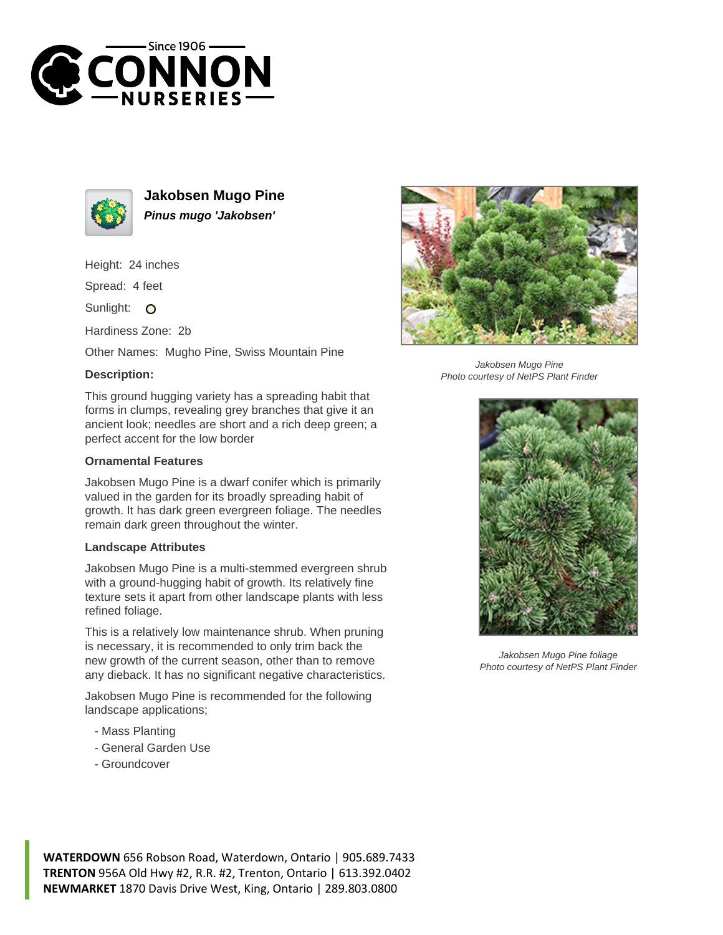



**Jakobsen Mugo Pine Pinus mugo 'Jakobsen'**

Height: 24 inches

Spread: 4 feet

Sunlight: O

Hardiness Zone: 2b

Other Names: Mugho Pine, Swiss Mountain Pine

## **Description:**

This ground hugging variety has a spreading habit that forms in clumps, revealing grey branches that give it an ancient look; needles are short and a rich deep green; a perfect accent for the low border

## **Ornamental Features**

Jakobsen Mugo Pine is a dwarf conifer which is primarily valued in the garden for its broadly spreading habit of growth. It has dark green evergreen foliage. The needles remain dark green throughout the winter.

## **Landscape Attributes**

Jakobsen Mugo Pine is a multi-stemmed evergreen shrub with a ground-hugging habit of growth. Its relatively fine texture sets it apart from other landscape plants with less refined foliage.

This is a relatively low maintenance shrub. When pruning is necessary, it is recommended to only trim back the new growth of the current season, other than to remove any dieback. It has no significant negative characteristics.

Jakobsen Mugo Pine is recommended for the following landscape applications;

- Mass Planting
- General Garden Use
- Groundcover



Jakobsen Mugo Pine Photo courtesy of NetPS Plant Finder



Jakobsen Mugo Pine foliage Photo courtesy of NetPS Plant Finder

**WATERDOWN** 656 Robson Road, Waterdown, Ontario | 905.689.7433 **TRENTON** 956A Old Hwy #2, R.R. #2, Trenton, Ontario | 613.392.0402 **NEWMARKET** 1870 Davis Drive West, King, Ontario | 289.803.0800